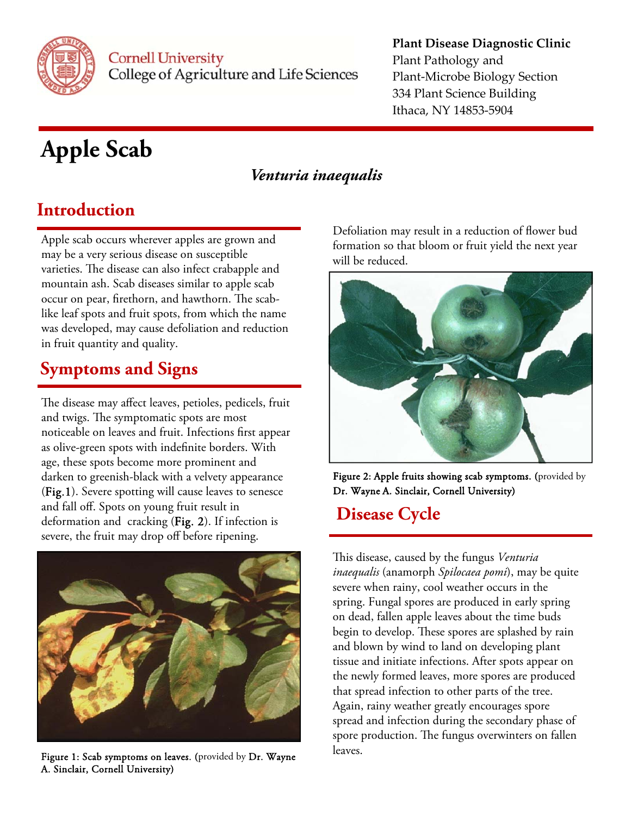

#### **Plant Disease Diagnostic Clinic** Plant Pathology and Plant‐Microbe Biology Section 334 Plant Science Building Ithaca, NY 14853‐5904

# **Apple Scab**

### *Venturia inaequalis*

### **Introduction**

Apple scab occurs wherever apples are grown and may be a very serious disease on susceptible varieties. The disease can also infect crabapple and mountain ash. Scab diseases similar to apple scab occur on pear, firethorn, and hawthorn. The scablike leaf spots and fruit spots, from which the name was developed, may cause defoliation and reduction in fruit quantity and quality.

## **Symptoms and Signs**

The disease may affect leaves, petioles, pedicels, fruit and twigs. The symptomatic spots are most noticeable on leaves and fruit. Infections first appear as olive-green spots with indefinite borders. With age, these spots become more prominent and darken to greenish-black with a velvety appearance (Fig.1). Severe spotting will cause leaves to senesce and fall off. Spots on young fruit result in deformation and cracking (Fig. 2). If infection is severe, the fruit may drop off before ripening.



Figure 1: Scab symptoms on leaves. (provided by Dr. Wayne A. Sinclair, Cornell University)

Defoliation may result in a reduction of flower bud formation so that bloom or fruit yield the next year will be reduced.



Figure 2: Apple fruits showing scab symptoms. (provided by Dr. Wayne A. Sinclair, Cornell University)

### **Disease Cycle**

This disease, caused by the fungus *Venturia inaequalis* (anamorph *Spilocaea pomi*), may be quite severe when rainy, cool weather occurs in the spring. Fungal spores are produced in early spring on dead, fallen apple leaves about the time buds begin to develop. These spores are splashed by rain and blown by wind to land on developing plant tissue and initiate infections. After spots appear on the newly formed leaves, more spores are produced that spread infection to other parts of the tree. Again, rainy weather greatly encourages spore spread and infection during the secondary phase of spore production. The fungus overwinters on fallen leaves.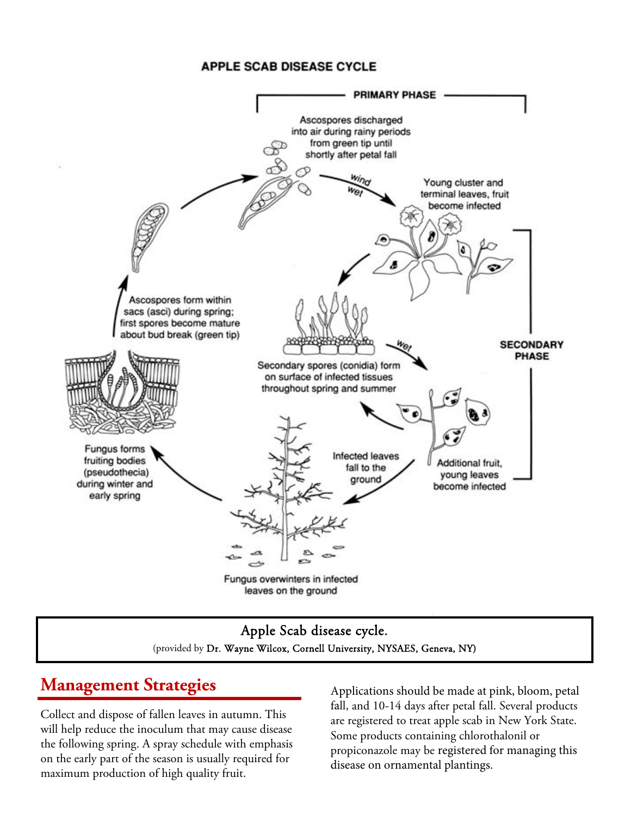#### **APPLE SCAB DISEASE CYCLE**



#### Apple Scab disease cycle. (provided by Dr. Wayne Wilcox, Cornell University, NYSAES, Geneva, NY)

### **Management Strategies**

Collect and dispose of fallen leaves in autumn. This will help reduce the inoculum that may cause disease the following spring. A spray schedule with emphasis on the early part of the season is usually required for maximum production of high quality fruit.

Applications should be made at pink, bloom, petal fall, and 10-14 days after petal fall. Several products are registered to treat apple scab in New York State. Some products containing chlorothalonil or propiconazole may be registered for managing this disease on ornamental plantings.